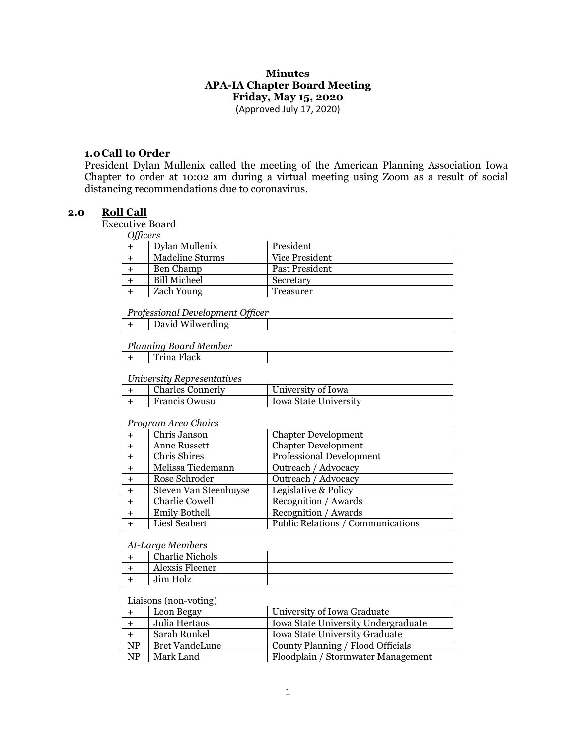## **Minutes APA-IA Chapter Board Meeting Friday, May 15, 2020** (Approved July 17, 2020)

#### **1.0Call to Order**

President Dylan Mullenix called the meeting of the American Planning Association Iowa Chapter to order at 10:02 am during a virtual meeting using Zoom as a result of social distancing recommendations due to coronavirus.

## **2.0 Roll Call**

Executive Board

| $\sim$ $\mu$ . $\sim$ |                     |                |
|-----------------------|---------------------|----------------|
|                       | Dylan Mullenix      | President      |
|                       | Madeline Sturms     | Vice President |
|                       | Ben Champ           | Past President |
|                       | <b>Bill Micheel</b> | Secretary      |
|                       | <b>Zach Young</b>   | Treasurer      |

#### *Professional Development Officer*

|--|

#### *Planning Board Member*

|  | Trina Flack |  |
|--|-------------|--|
|--|-------------|--|

## *University Representatives*

| $\alpha$ and $\alpha$ and $\alpha$ are $\beta$ and $\alpha$ are $\alpha$ |                  |                       |
|--------------------------------------------------------------------------|------------------|-----------------------|
|                                                                          | Charles Connerly | University of Iowa    |
|                                                                          | Francis Owusu    | Iowa State University |

#### *Program Area Chairs*

|     | Chris Janson          | <b>Chapter Development</b>        |
|-----|-----------------------|-----------------------------------|
| $+$ | Anne Russett          | <b>Chapter Development</b>        |
|     | Chris Shires          | <b>Professional Development</b>   |
|     | Melissa Tiedemann     | Outreach / Advocacy               |
|     | Rose Schroder         | Outreach / Advocacy               |
|     | Steven Van Steenhuyse | Legislative & Policy              |
|     | Charlie Cowell        | Recognition / Awards              |
| $+$ | <b>Emily Bothell</b>  | Recognition / Awards              |
|     | Liesl Seabert         | Public Relations / Communications |
|     |                       |                                   |

#### *At-Large Members*

| <b>Charlie Nichols</b> |  |
|------------------------|--|
| Alexsis Fleener        |  |
| Jim Holz               |  |

#### Liaisons (non-voting)

|                        | Leon Begay     | University of Iowa Graduate         |
|------------------------|----------------|-------------------------------------|
|                        | Julia Hertaus  | Iowa State University Undergraduate |
|                        | Sarah Runkel   | Iowa State University Graduate      |
| $\overline{\text{NP}}$ | Bret VandeLune | County Planning / Flood Officials   |
| $\overline{\text{NP}}$ | Mark Land      | Floodplain / Stormwater Management  |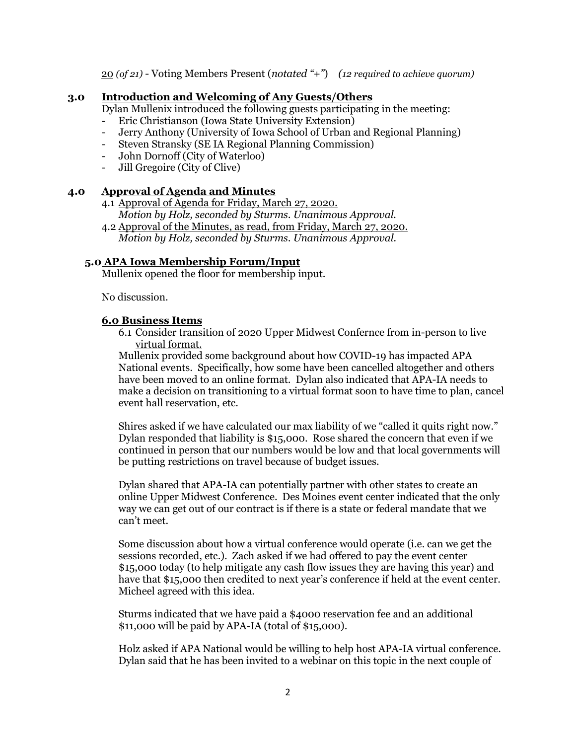20 *(of 21)* - Voting Members Present (*notated "+"*) *(12 required to achieve quorum)*

## **3.0 Introduction and Welcoming of Any Guests/Others**

Dylan Mullenix introduced the following guests participating in the meeting:

- Eric Christianson (Iowa State University Extension)
- Jerry Anthony (University of Iowa School of Urban and Regional Planning)
- Steven Stransky (SE IA Regional Planning Commission)
- John Dornoff (City of Waterloo)
- Jill Gregoire (City of Clive)

## **4.0 Approval of Agenda and Minutes**

- 4.1 Approval of Agenda for Friday, March 27, 2020. *Motion by Holz, seconded by Sturms. Unanimous Approval.*
- 4.2 Approval of the Minutes, as read, from Friday, March 27, 2020. *Motion by Holz, seconded by Sturms. Unanimous Approval.*

# **5.0 APA Iowa Membership Forum/Input**

Mullenix opened the floor for membership input.

No discussion.

## **6.0 Business Items**

6.1 Consider transition of 2020 Upper Midwest Confernce from in-person to live virtual format.

Mullenix provided some background about how COVID-19 has impacted APA National events. Specifically, how some have been cancelled altogether and others have been moved to an online format. Dylan also indicated that APA-IA needs to make a decision on transitioning to a virtual format soon to have time to plan, cancel event hall reservation, etc.

Shires asked if we have calculated our max liability of we "called it quits right now." Dylan responded that liability is \$15,000. Rose shared the concern that even if we continued in person that our numbers would be low and that local governments will be putting restrictions on travel because of budget issues.

Dylan shared that APA-IA can potentially partner with other states to create an online Upper Midwest Conference. Des Moines event center indicated that the only way we can get out of our contract is if there is a state or federal mandate that we can't meet.

Some discussion about how a virtual conference would operate (i.e. can we get the sessions recorded, etc.). Zach asked if we had offered to pay the event center \$15,000 today (to help mitigate any cash flow issues they are having this year) and have that \$15,000 then credited to next year's conference if held at the event center. Micheel agreed with this idea.

Sturms indicated that we have paid a \$4000 reservation fee and an additional \$11,000 will be paid by APA-IA (total of \$15,000).

Holz asked if APA National would be willing to help host APA-IA virtual conference. Dylan said that he has been invited to a webinar on this topic in the next couple of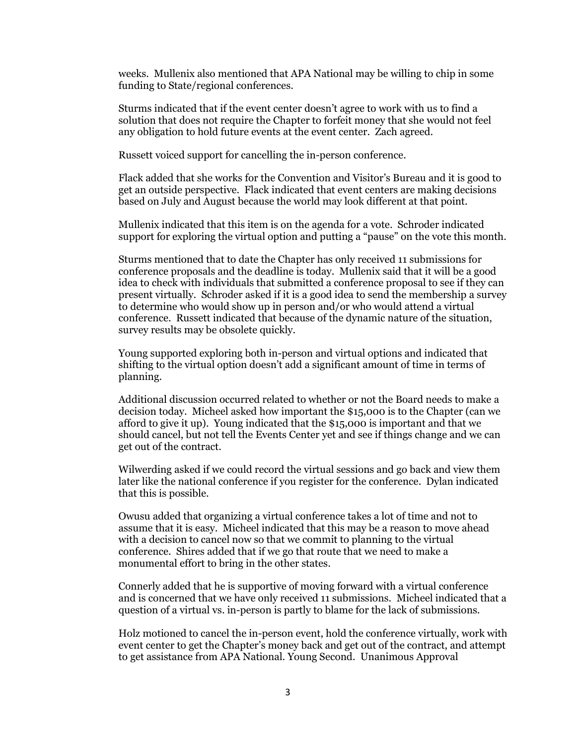weeks. Mullenix also mentioned that APA National may be willing to chip in some funding to State/regional conferences.

Sturms indicated that if the event center doesn't agree to work with us to find a solution that does not require the Chapter to forfeit money that she would not feel any obligation to hold future events at the event center. Zach agreed.

Russett voiced support for cancelling the in-person conference.

Flack added that she works for the Convention and Visitor's Bureau and it is good to get an outside perspective. Flack indicated that event centers are making decisions based on July and August because the world may look different at that point.

Mullenix indicated that this item is on the agenda for a vote. Schroder indicated support for exploring the virtual option and putting a "pause" on the vote this month.

Sturms mentioned that to date the Chapter has only received 11 submissions for conference proposals and the deadline is today. Mullenix said that it will be a good idea to check with individuals that submitted a conference proposal to see if they can present virtually. Schroder asked if it is a good idea to send the membership a survey to determine who would show up in person and/or who would attend a virtual conference. Russett indicated that because of the dynamic nature of the situation, survey results may be obsolete quickly.

Young supported exploring both in-person and virtual options and indicated that shifting to the virtual option doesn't add a significant amount of time in terms of planning.

Additional discussion occurred related to whether or not the Board needs to make a decision today. Micheel asked how important the \$15,000 is to the Chapter (can we afford to give it up). Young indicated that the \$15,000 is important and that we should cancel, but not tell the Events Center yet and see if things change and we can get out of the contract.

Wilwerding asked if we could record the virtual sessions and go back and view them later like the national conference if you register for the conference. Dylan indicated that this is possible.

Owusu added that organizing a virtual conference takes a lot of time and not to assume that it is easy. Micheel indicated that this may be a reason to move ahead with a decision to cancel now so that we commit to planning to the virtual conference. Shires added that if we go that route that we need to make a monumental effort to bring in the other states.

Connerly added that he is supportive of moving forward with a virtual conference and is concerned that we have only received 11 submissions. Micheel indicated that a question of a virtual vs. in-person is partly to blame for the lack of submissions.

Holz motioned to cancel the in-person event, hold the conference virtually, work with event center to get the Chapter's money back and get out of the contract, and attempt to get assistance from APA National. Young Second. Unanimous Approval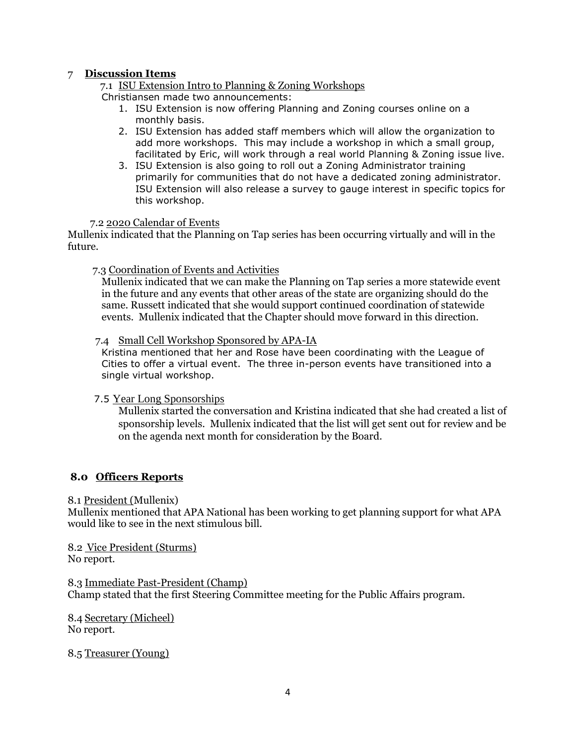# 7 **Discussion Items**

7.1 ISU Extension Intro to Planning & Zoning Workshops

Christiansen made two announcements:

- 1. ISU Extension is now offering Planning and Zoning courses online on a monthly basis.
- 2. ISU Extension has added staff members which will allow the organization to add more workshops. This may include a workshop in which a small group, facilitated by Eric, will work through a real world Planning & Zoning issue live.
- 3. ISU Extension is also going to roll out a Zoning Administrator training primarily for communities that do not have a dedicated zoning administrator. ISU Extension will also release a survey to gauge interest in specific topics for this workshop.

## 7.2 2020 Calendar of Events

Mullenix indicated that the Planning on Tap series has been occurring virtually and will in the future.

## 7.3 Coordination of Events and Activities

Mullenix indicated that we can make the Planning on Tap series a more statewide event in the future and any events that other areas of the state are organizing should do the same. Russett indicated that she would support continued coordination of statewide events. Mullenix indicated that the Chapter should move forward in this direction.

## 7.4 Small Cell Workshop Sponsored by APA-IA

Kristina mentioned that her and Rose have been coordinating with the League of Cities to offer a virtual event. The three in-person events have transitioned into a single virtual workshop.

## 7.5 Year Long Sponsorships

Mullenix started the conversation and Kristina indicated that she had created a list of sponsorship levels. Mullenix indicated that the list will get sent out for review and be on the agenda next month for consideration by the Board.

# **8.0 Officers Reports**

## 8.1 President (Mullenix)

Mullenix mentioned that APA National has been working to get planning support for what APA would like to see in the next stimulous bill.

8.2 Vice President (Sturms) No report.

8.3 Immediate Past-President (Champ) Champ stated that the first Steering Committee meeting for the Public Affairs program.

8.4 Secretary (Micheel) No report.

8.5 Treasurer (Young)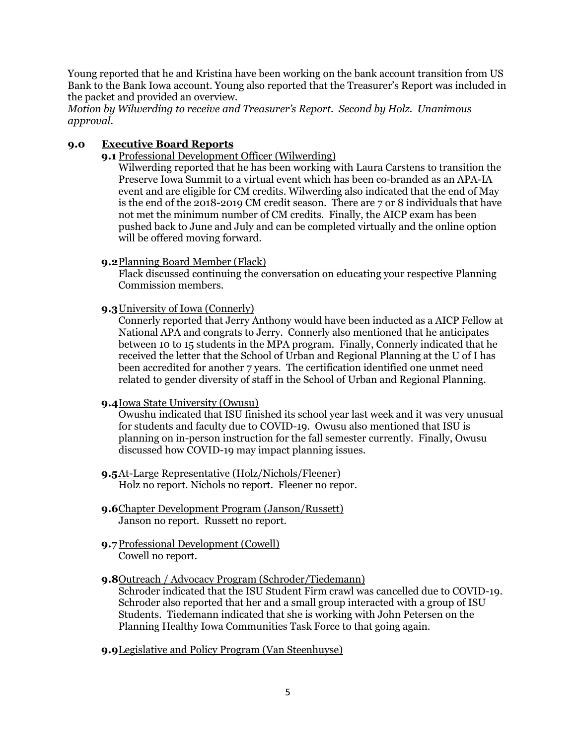Young reported that he and Kristina have been working on the bank account transition from US Bank to the Bank Iowa account. Young also reported that the Treasurer's Report was included in the packet and provided an overview.

*Motion by Wilwerding to receive and Treasurer's Report. Second by Holz. Unanimous approval.*

# **9.0 Executive Board Reports**

**9.1** Professional Development Officer (Wilwerding)

Wilwerding reported that he has been working with Laura Carstens to transition the Preserve Iowa Summit to a virtual event which has been co-branded as an APA-IA event and are eligible for CM credits. Wilwerding also indicated that the end of May is the end of the 2018-2019 CM credit season. There are 7 or 8 individuals that have not met the minimum number of CM credits. Finally, the AICP exam has been pushed back to June and July and can be completed virtually and the online option will be offered moving forward.

## **9.2**Planning Board Member (Flack)

Flack discussed continuing the conversation on educating your respective Planning Commission members.

## **9.3**University of Iowa (Connerly)

Connerly reported that Jerry Anthony would have been inducted as a AICP Fellow at National APA and congrats to Jerry. Connerly also mentioned that he anticipates between 10 to 15 students in the MPA program. Finally, Connerly indicated that he received the letter that the School of Urban and Regional Planning at the U of I has been accredited for another 7 years. The certification identified one unmet need related to gender diversity of staff in the School of Urban and Regional Planning.

## **9.4**Iowa State University (Owusu)

Owushu indicated that ISU finished its school year last week and it was very unusual for students and faculty due to COVID-19. Owusu also mentioned that ISU is planning on in-person instruction for the fall semester currently. Finally, Owusu discussed how COVID-19 may impact planning issues.

- **9.5**At-Large Representative (Holz/Nichols/Fleener) Holz no report. Nichols no report. Fleener no repor.
- **9.6**Chapter Development Program (Janson/Russett) Janson no report. Russett no report.
- **9.7**Professional Development (Cowell) Cowell no report.

# **9.8**Outreach / Advocacy Program (Schroder/Tiedemann)

Schroder indicated that the ISU Student Firm crawl was cancelled due to COVID-19. Schroder also reported that her and a small group interacted with a group of ISU Students. Tiedemann indicated that she is working with John Petersen on the Planning Healthy Iowa Communities Task Force to that going again.

**9.9**Legislative and Policy Program (Van Steenhuyse)